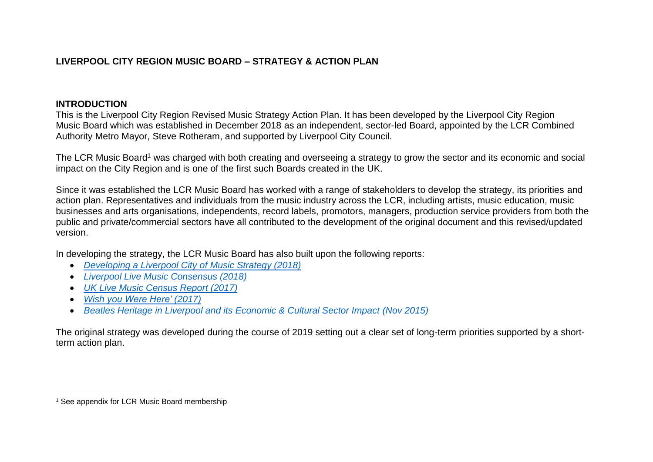# **LIVERPOOL CITY REGION MUSIC BOARD – STRATEGY & ACTION PLAN**

## **INTRODUCTION**

This is the Liverpool City Region Revised Music Strategy Action Plan. It has been developed by the Liverpool City Region Music Board which was established in December 2018 as an independent, sector-led Board, appointed by the LCR Combined Authority Metro Mayor, Steve Rotheram, and supported by Liverpool City Council.

The LCR Music Board<sup>1</sup> was charged with both creating and overseeing a strategy to grow the sector and its economic and social impact on the City Region and is one of the first such Boards created in the UK.

Since it was established the LCR Music Board has worked with a range of stakeholders to develop the strategy, its priorities and action plan. Representatives and individuals from the music industry across the LCR, including artists, music education, music businesses and arts organisations, independents, record labels, promotors, managers, production service providers from both the public and private/commercial sectors have all contributed to the development of the original document and this revised/updated version.

In developing the strategy, the LCR Music Board has also built upon the following reports:

- *[Developing a Liverpool City of Music Strategy \(2018\)](http://bop.co.uk/assets/others/Developing-Liverpool-Music-strategy-February-2018-1.pdf)*
- *[Liverpool Live Music Consensus \(2018\)](https://www.liverpool.ac.uk/media/livacuk/schoolofthearts/documents/music/Liverpool,Live,Music,Census,-,Analysis,of,Data.pdf)*
- *[UK Live Music Census Report](http://uklivemusiccensus.org/wp-content/uploads/2018/03/UK-Live-Music-Census-2017-full-report.pdf) (2017)*
- *[Wish you Were Here'](https://www.ukmusic.org/wp-content/uploads/2021/01/Wish-You-Were-Here-2017.pdf) (2017)*
- *[Beatles Heritage in Liverpool and its Economic & Cultural Sector Impact](http://researchonline.ljmu.ac.uk/id/eprint/2900/1/Beatles%20Heritage%20in%20Liverpool%2048pp%20210x210mm%20aw.pdf) (Nov 2015)*

The original strategy was developed during the course of 2019 setting out a clear set of long-term priorities supported by a shortterm action plan.

 $\overline{a}$ <sup>1</sup> See appendix for LCR Music Board membership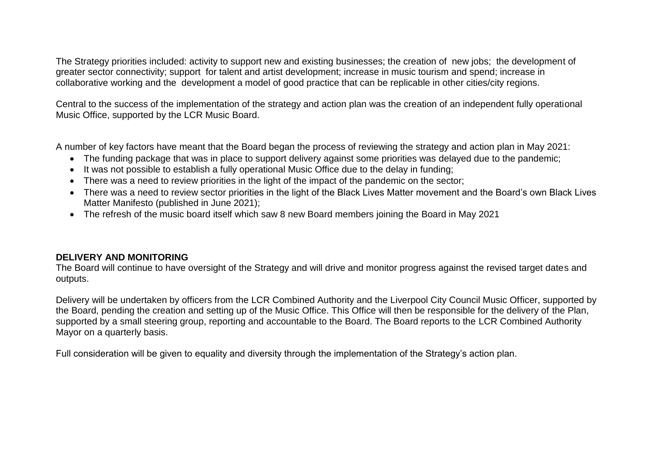The Strategy priorities included: activity to support new and existing businesses; the creation of new jobs; the development of greater sector connectivity; support for talent and artist development; increase in music tourism and spend; increase in collaborative working and the development a model of good practice that can be replicable in other cities/city regions.

Central to the success of the implementation of the strategy and action plan was the creation of an independent fully operational Music Office, supported by the LCR Music Board.

A number of key factors have meant that the Board began the process of reviewing the strategy and action plan in May 2021:

- The funding package that was in place to support delivery against some priorities was delayed due to the pandemic;
- It was not possible to establish a fully operational Music Office due to the delay in funding;
- There was a need to review priorities in the light of the impact of the pandemic on the sector;
- There was a need to review sector priorities in the light of the Black Lives Matter movement and the Board's own Black Lives Matter Manifesto (published in June 2021);
- The refresh of the music board itself which saw 8 new Board members joining the Board in May 2021

### **DELIVERY AND MONITORING**

The Board will continue to have oversight of the Strategy and will drive and monitor progress against the revised target dates and outputs.

Delivery will be undertaken by officers from the LCR Combined Authority and the Liverpool City Council Music Officer, supported by the Board, pending the creation and setting up of the Music Office. This Office will then be responsible for the delivery of the Plan, supported by a small steering group, reporting and accountable to the Board. The Board reports to the LCR Combined Authority Mayor on a quarterly basis.

Full consideration will be given to equality and diversity through the implementation of the Strategy's action plan.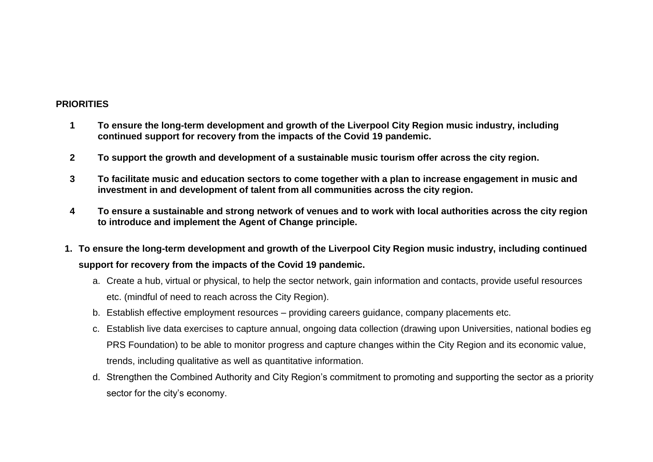#### **PRIORITIES**

- **1 To ensure the long-term development and growth of the Liverpool City Region music industry, including continued support for recovery from the impacts of the Covid 19 pandemic.**
- **2 To support the growth and development of a sustainable music tourism offer across the city region.**
- **3 To facilitate music and education sectors to come together with a plan to increase engagement in music and investment in and development of talent from all communities across the city region.**
- **4 To ensure a sustainable and strong network of venues and to work with local authorities across the city region to introduce and implement the Agent of Change principle.**
- **1. To ensure the long-term development and growth of the Liverpool City Region music industry, including continued support for recovery from the impacts of the Covid 19 pandemic.**
	- a. Create a hub, virtual or physical, to help the sector network, gain information and contacts, provide useful resources etc. (mindful of need to reach across the City Region).
	- b. Establish effective employment resources providing careers guidance, company placements etc.
	- c. Establish live data exercises to capture annual, ongoing data collection (drawing upon Universities, national bodies eg PRS Foundation) to be able to monitor progress and capture changes within the City Region and its economic value, trends, including qualitative as well as quantitative information.
	- d. Strengthen the Combined Authority and City Region's commitment to promoting and supporting the sector as a priority sector for the city's economy.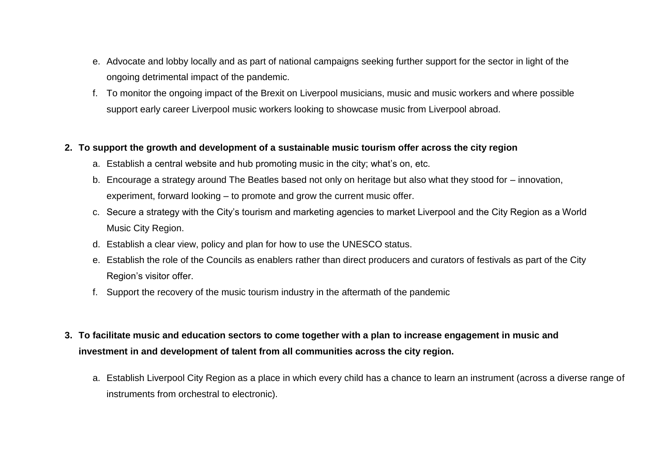- e. Advocate and lobby locally and as part of national campaigns seeking further support for the sector in light of the ongoing detrimental impact of the pandemic.
- f. To monitor the ongoing impact of the Brexit on Liverpool musicians, music and music workers and where possible support early career Liverpool music workers looking to showcase music from Liverpool abroad*.*

#### **2. To support the growth and development of a sustainable music tourism offer across the city region**

- a. Establish a central website and hub promoting music in the city; what's on, etc.
- b. Encourage a strategy around The Beatles based not only on heritage but also what they stood for innovation, experiment, forward looking – to promote and grow the current music offer.
- c. Secure a strategy with the City's tourism and marketing agencies to market Liverpool and the City Region as a World Music City Region.
- d. Establish a clear view, policy and plan for how to use the UNESCO status.
- e. Establish the role of the Councils as enablers rather than direct producers and curators of festivals as part of the City Region's visitor offer.
- f. Support the recovery of the music tourism industry in the aftermath of the pandemic
- **3. To facilitate music and education sectors to come together with a plan to increase engagement in music and investment in and development of talent from all communities across the city region.** 
	- a. Establish Liverpool City Region as a place in which every child has a chance to learn an instrument (across a diverse range of instruments from orchestral to electronic).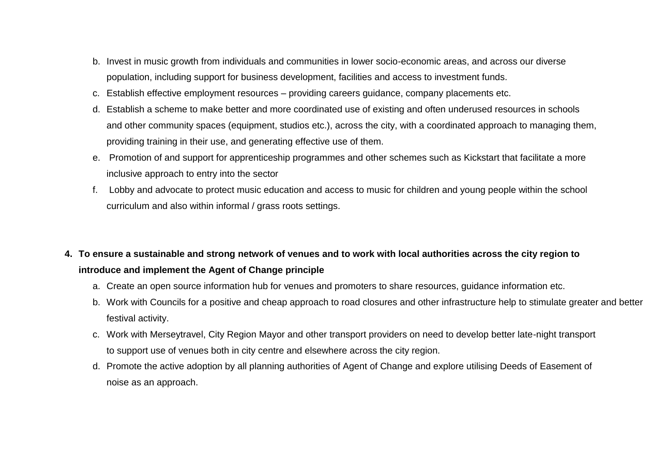- b. Invest in music growth from individuals and communities in lower socio-economic areas, and across our diverse population, including support for business development, facilities and access to investment funds.
- c. Establish effective employment resources providing careers guidance, company placements etc.
- d. Establish a scheme to make better and more coordinated use of existing and often underused resources in schools and other community spaces (equipment, studios etc.), across the city, with a coordinated approach to managing them, providing training in their use, and generating effective use of them.
- e. Promotion of and support for apprenticeship programmes and other schemes such as Kickstart that facilitate a more inclusive approach to entry into the sector
- f. Lobby and advocate to protect music education and access to music for children and young people within the school curriculum and also within informal / grass roots settings.

# **4. To ensure a sustainable and strong network of venues and to work with local authorities across the city region to introduce and implement the Agent of Change principle**

- a. Create an open source information hub for venues and promoters to share resources, guidance information etc.
- b. Work with Councils for a positive and cheap approach to road closures and other infrastructure help to stimulate greater and better festival activity.
- c. Work with Merseytravel, City Region Mayor and other transport providers on need to develop better late-night transport to support use of venues both in city centre and elsewhere across the city region.
- d. Promote the active adoption by all planning authorities of Agent of Change and explore utilising Deeds of Easement of noise as an approach.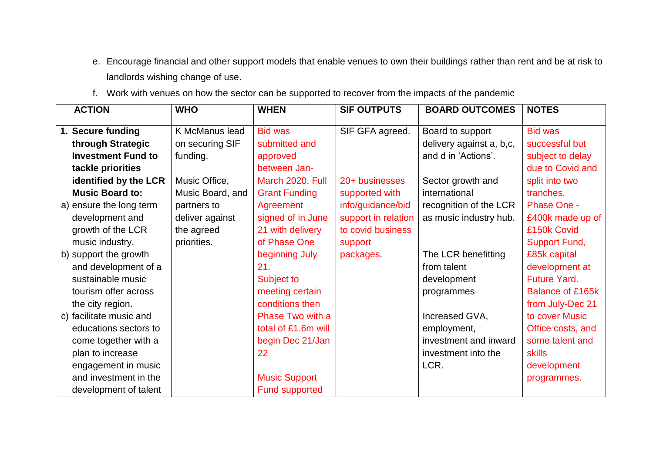- e. Encourage financial and other support models that enable venues to own their buildings rather than rent and be at risk to landlords wishing change of use.
- f. Work with venues on how the sector can be supported to recover from the impacts of the pandemic

| <b>ACTION</b>             | <b>WHO</b>       | <b>WHEN</b>           | <b>SIF OUTPUTS</b>  | <b>BOARD OUTCOMES</b>    | <b>NOTES</b>        |
|---------------------------|------------------|-----------------------|---------------------|--------------------------|---------------------|
|                           |                  |                       |                     |                          |                     |
| 1. Secure funding         | K McManus lead   | <b>Bid was</b>        | SIF GFA agreed.     | Board to support         | <b>Bid was</b>      |
| through Strategic         | on securing SIF  | submitted and         |                     | delivery against a, b,c, | successful but      |
| <b>Investment Fund to</b> | funding.         | approved              |                     | and d in 'Actions'.      | subject to delay    |
| tackle priorities         |                  | between Jan-          |                     |                          | due to Covid and    |
| identified by the LCR     | Music Office,    | March 2020. Full      | 20+ businesses      | Sector growth and        | split into two      |
| <b>Music Board to:</b>    | Music Board, and | <b>Grant Funding</b>  | supported with      | international            | tranches.           |
| a) ensure the long term   | partners to      | Agreement             | info/guidance/bid   | recognition of the LCR   | <b>Phase One -</b>  |
| development and           | deliver against  | signed of in June     | support in relation | as music industry hub.   | £400k made up of    |
| growth of the LCR         | the agreed       | 21 with delivery      | to covid business   |                          | £150k Covid         |
| music industry.           | priorities.      | of Phase One          | support             |                          | Support Fund,       |
| b) support the growth     |                  | beginning July        | packages.           | The LCR benefitting      | £85k capital        |
| and development of a      |                  | 21.                   |                     | from talent              | development at      |
| sustainable music         |                  | Subject to            |                     | development              | <b>Future Yard.</b> |
| tourism offer across      |                  | meeting certain       |                     | programmes               | Balance of £165k    |
| the city region.          |                  | conditions then       |                     |                          | from July-Dec 21    |
| c) facilitate music and   |                  | Phase Two with a      |                     | Increased GVA,           | to cover Music      |
| educations sectors to     |                  | total of £1.6m will   |                     | employment,              | Office costs, and   |
| come together with a      |                  | begin Dec 21/Jan      |                     | investment and inward    | some talent and     |
| plan to increase          |                  | 22                    |                     | investment into the      | <b>skills</b>       |
| engagement in music       |                  |                       |                     | LCR.                     | development         |
| and investment in the     |                  | <b>Music Support</b>  |                     |                          | programmes.         |
| development of talent     |                  | <b>Fund supported</b> |                     |                          |                     |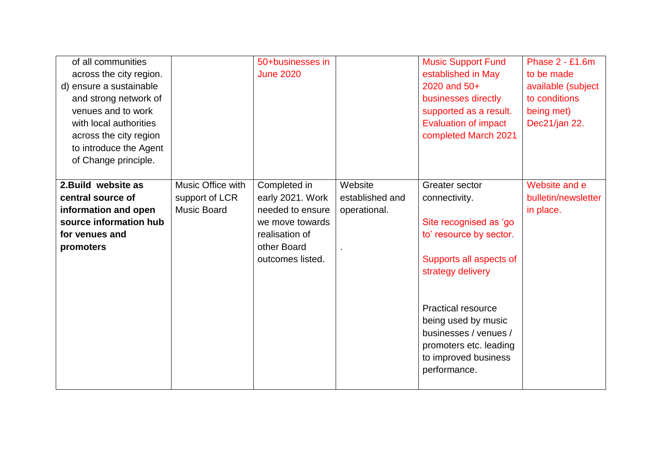| of all communities<br>across the city region.<br>d) ensure a sustainable<br>and strong network of<br>venues and to work<br>with local authorities<br>across the city region<br>to introduce the Agent<br>of Change principle. |                                                           | 50+businesses in<br><b>June 2020</b>                                                                                         |                                            | <b>Music Support Fund</b><br>established in May<br>2020 and 50+<br>businesses directly<br>supported as a result.<br><b>Evaluation of impact</b><br>completed March 2021                                                                                                             | <b>Phase 2 - £1.6m</b><br>to be made<br>available (subject<br>to conditions<br>being met)<br>Dec21/jan 22. |
|-------------------------------------------------------------------------------------------------------------------------------------------------------------------------------------------------------------------------------|-----------------------------------------------------------|------------------------------------------------------------------------------------------------------------------------------|--------------------------------------------|-------------------------------------------------------------------------------------------------------------------------------------------------------------------------------------------------------------------------------------------------------------------------------------|------------------------------------------------------------------------------------------------------------|
| 2. Build website as<br>central source of<br>information and open<br>source information hub<br>for venues and<br>promoters                                                                                                     | Music Office with<br>support of LCR<br><b>Music Board</b> | Completed in<br>early 2021. Work<br>needed to ensure<br>we move towards<br>realisation of<br>other Board<br>outcomes listed. | Website<br>established and<br>operational. | Greater sector<br>connectivity.<br>Site recognised as 'go<br>to' resource by sector.<br>Supports all aspects of<br>strategy delivery<br><b>Practical resource</b><br>being used by music<br>businesses / venues /<br>promoters etc. leading<br>to improved business<br>performance. | Website and e<br>bulletin/newsletter<br>in place.                                                          |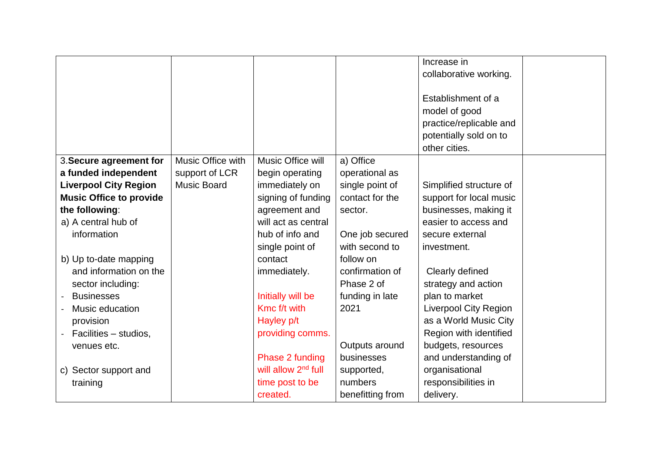|                                |                    |                                 |                  | Increase in                  |  |
|--------------------------------|--------------------|---------------------------------|------------------|------------------------------|--|
|                                |                    |                                 |                  | collaborative working.       |  |
|                                |                    |                                 |                  |                              |  |
|                                |                    |                                 |                  | Establishment of a           |  |
|                                |                    |                                 |                  | model of good                |  |
|                                |                    |                                 |                  | practice/replicable and      |  |
|                                |                    |                                 |                  | potentially sold on to       |  |
|                                |                    |                                 |                  | other cities.                |  |
| 3. Secure agreement for        | Music Office with  | Music Office will               | a) Office        |                              |  |
| a funded independent           | support of LCR     | begin operating                 | operational as   |                              |  |
| <b>Liverpool City Region</b>   | <b>Music Board</b> | immediately on                  | single point of  | Simplified structure of      |  |
| <b>Music Office to provide</b> |                    | signing of funding              | contact for the  | support for local music      |  |
| the following:                 |                    | agreement and                   | sector.          | businesses, making it        |  |
| a) A central hub of            |                    | will act as central             |                  | easier to access and         |  |
| information                    |                    | hub of info and                 | One job secured  | secure external              |  |
|                                |                    | single point of                 | with second to   | investment.                  |  |
| b) Up to-date mapping          |                    | contact                         | follow on        |                              |  |
| and information on the         |                    | immediately.                    | confirmation of  | Clearly defined              |  |
| sector including:              |                    |                                 | Phase 2 of       | strategy and action          |  |
| <b>Businesses</b>              |                    | Initially will be               | funding in late  | plan to market               |  |
| Music education                |                    | Kmc f/t with                    | 2021             | <b>Liverpool City Region</b> |  |
| provision                      |                    | Hayley p/t                      |                  | as a World Music City        |  |
| Facilities - studios,          |                    | providing comms.                |                  | Region with identified       |  |
| venues etc.                    |                    |                                 | Outputs around   | budgets, resources           |  |
|                                |                    | Phase 2 funding                 | businesses       | and understanding of         |  |
| c) Sector support and          |                    | will allow 2 <sup>nd</sup> full | supported,       | organisational               |  |
| training                       |                    | time post to be                 | numbers          | responsibilities in          |  |
|                                |                    | created.                        | benefitting from | delivery.                    |  |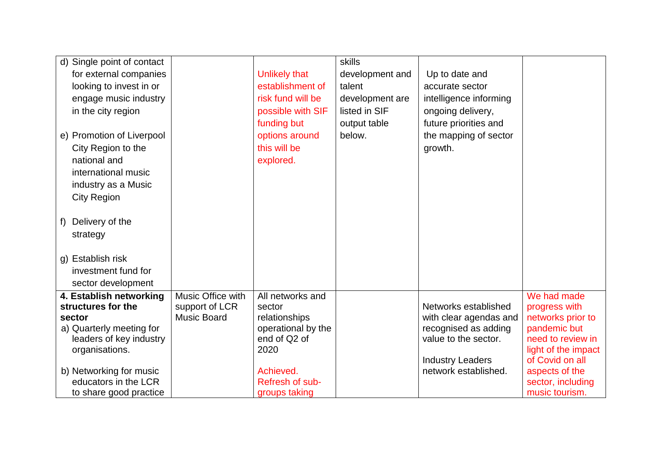| d) Single point of contact |                    |                      | skills          |                                                 |                                   |
|----------------------------|--------------------|----------------------|-----------------|-------------------------------------------------|-----------------------------------|
| for external companies     |                    | <b>Unlikely that</b> | development and | Up to date and                                  |                                   |
| looking to invest in or    |                    | establishment of     | talent          | accurate sector                                 |                                   |
| engage music industry      |                    | risk fund will be    | development are | intelligence informing                          |                                   |
| in the city region         |                    | possible with SIF    | listed in SIF   | ongoing delivery,                               |                                   |
|                            |                    | funding but          | output table    | future priorities and                           |                                   |
| e) Promotion of Liverpool  |                    | options around       | below.          | the mapping of sector                           |                                   |
| City Region to the         |                    | this will be         |                 | growth.                                         |                                   |
| national and               |                    | explored.            |                 |                                                 |                                   |
| international music        |                    |                      |                 |                                                 |                                   |
| industry as a Music        |                    |                      |                 |                                                 |                                   |
| <b>City Region</b>         |                    |                      |                 |                                                 |                                   |
|                            |                    |                      |                 |                                                 |                                   |
| Delivery of the<br>f)      |                    |                      |                 |                                                 |                                   |
| strategy                   |                    |                      |                 |                                                 |                                   |
|                            |                    |                      |                 |                                                 |                                   |
| g) Establish risk          |                    |                      |                 |                                                 |                                   |
| investment fund for        |                    |                      |                 |                                                 |                                   |
| sector development         |                    |                      |                 |                                                 |                                   |
| 4. Establish networking    | Music Office with  | All networks and     |                 |                                                 | We had made                       |
| structures for the         | support of LCR     | sector               |                 | Networks established                            | progress with                     |
| sector                     | <b>Music Board</b> | relationships        |                 | with clear agendas and                          | networks prior to                 |
| a) Quarterly meeting for   |                    | operational by the   |                 | recognised as adding                            | pandemic but                      |
| leaders of key industry    |                    | end of Q2 of         |                 | value to the sector.                            | need to review in                 |
| organisations.             |                    | 2020                 |                 |                                                 | light of the impact               |
| b) Networking for music    |                    | Achieved.            |                 | <b>Industry Leaders</b><br>network established. | of Covid on all<br>aspects of the |
| educators in the LCR       |                    | Refresh of sub-      |                 |                                                 | sector, including                 |
| to share good practice     |                    | groups taking        |                 |                                                 | music tourism.                    |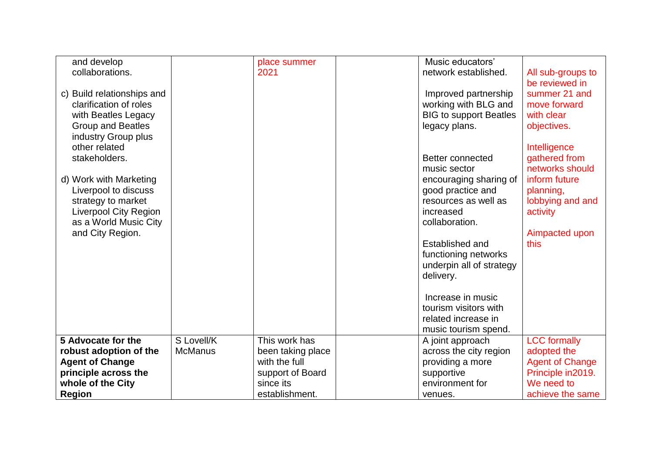| and develop<br>collaborations.<br>c) Build relationships and<br>clarification of roles<br>with Beatles Legacy<br><b>Group and Beatles</b><br>industry Group plus<br>other related<br>stakeholders.<br>d) Work with Marketing<br>Liverpool to discuss<br>strategy to market<br><b>Liverpool City Region</b><br>as a World Music City<br>and City Region. |                | place summer<br>2021 | Music educators'<br>network established.<br>Improved partnership<br>working with BLG and<br><b>BIG to support Beatles</b><br>legacy plans.<br>Better connected<br>music sector<br>encouraging sharing of<br>good practice and<br>resources as well as<br>increased<br>collaboration.<br>Established and<br>functioning networks<br>underpin all of strategy<br>delivery.<br>Increase in music<br>tourism visitors with<br>related increase in | All sub-groups to<br>be reviewed in<br>summer 21 and<br>move forward<br>with clear<br>objectives.<br>Intelligence<br>gathered from<br>networks should<br>inform future<br>planning,<br>lobbying and and<br>activity<br>Aimpacted upon<br>this |
|---------------------------------------------------------------------------------------------------------------------------------------------------------------------------------------------------------------------------------------------------------------------------------------------------------------------------------------------------------|----------------|----------------------|-----------------------------------------------------------------------------------------------------------------------------------------------------------------------------------------------------------------------------------------------------------------------------------------------------------------------------------------------------------------------------------------------------------------------------------------------|-----------------------------------------------------------------------------------------------------------------------------------------------------------------------------------------------------------------------------------------------|
|                                                                                                                                                                                                                                                                                                                                                         |                |                      | music tourism spend.                                                                                                                                                                                                                                                                                                                                                                                                                          |                                                                                                                                                                                                                                               |
| 5 Advocate for the                                                                                                                                                                                                                                                                                                                                      | S Lovell/K     | This work has        | A joint approach                                                                                                                                                                                                                                                                                                                                                                                                                              | <b>LCC</b> formally                                                                                                                                                                                                                           |
| robust adoption of the                                                                                                                                                                                                                                                                                                                                  | <b>McManus</b> | been taking place    | across the city region                                                                                                                                                                                                                                                                                                                                                                                                                        | adopted the                                                                                                                                                                                                                                   |
| <b>Agent of Change</b>                                                                                                                                                                                                                                                                                                                                  |                | with the full        | providing a more                                                                                                                                                                                                                                                                                                                                                                                                                              | <b>Agent of Change</b>                                                                                                                                                                                                                        |
| principle across the                                                                                                                                                                                                                                                                                                                                    |                | support of Board     | supportive                                                                                                                                                                                                                                                                                                                                                                                                                                    | Principle in 2019.                                                                                                                                                                                                                            |
| whole of the City                                                                                                                                                                                                                                                                                                                                       |                | since its            | environment for                                                                                                                                                                                                                                                                                                                                                                                                                               | We need to                                                                                                                                                                                                                                    |
| <b>Region</b>                                                                                                                                                                                                                                                                                                                                           |                | establishment.       | venues.                                                                                                                                                                                                                                                                                                                                                                                                                                       | achieve the same                                                                                                                                                                                                                              |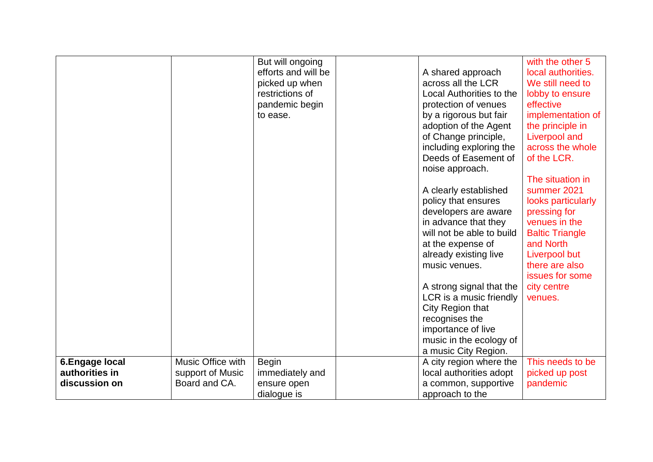|                 |                   | But will ongoing    |                           | with the other 5       |
|-----------------|-------------------|---------------------|---------------------------|------------------------|
|                 |                   | efforts and will be | A shared approach         | local authorities.     |
|                 |                   | picked up when      | across all the LCR        | We still need to       |
|                 |                   | restrictions of     | Local Authorities to the  | lobby to ensure        |
|                 |                   | pandemic begin      | protection of venues      | effective              |
|                 |                   | to ease.            | by a rigorous but fair    | implementation of      |
|                 |                   |                     | adoption of the Agent     | the principle in       |
|                 |                   |                     | of Change principle,      | <b>Liverpool and</b>   |
|                 |                   |                     | including exploring the   | across the whole       |
|                 |                   |                     | Deeds of Easement of      | of the LCR.            |
|                 |                   |                     | noise approach.           |                        |
|                 |                   |                     |                           | The situation in       |
|                 |                   |                     | A clearly established     | summer 2021            |
|                 |                   |                     | policy that ensures       | looks particularly     |
|                 |                   |                     | developers are aware      | pressing for           |
|                 |                   |                     | in advance that they      | venues in the          |
|                 |                   |                     | will not be able to build | <b>Baltic Triangle</b> |
|                 |                   |                     | at the expense of         | and North              |
|                 |                   |                     | already existing live     | <b>Liverpool but</b>   |
|                 |                   |                     | music venues.             | there are also         |
|                 |                   |                     |                           | issues for some        |
|                 |                   |                     | A strong signal that the  | city centre            |
|                 |                   |                     | LCR is a music friendly   | venues.                |
|                 |                   |                     | City Region that          |                        |
|                 |                   |                     | recognises the            |                        |
|                 |                   |                     | importance of live        |                        |
|                 |                   |                     | music in the ecology of   |                        |
|                 |                   |                     | a music City Region.      |                        |
| 6. Engage local | Music Office with | <b>Begin</b>        | A city region where the   | This needs to be       |
| authorities in  | support of Music  | immediately and     | local authorities adopt   | picked up post         |
| discussion on   | Board and CA.     | ensure open         | a common, supportive      | pandemic               |
|                 |                   | dialogue is         | approach to the           |                        |